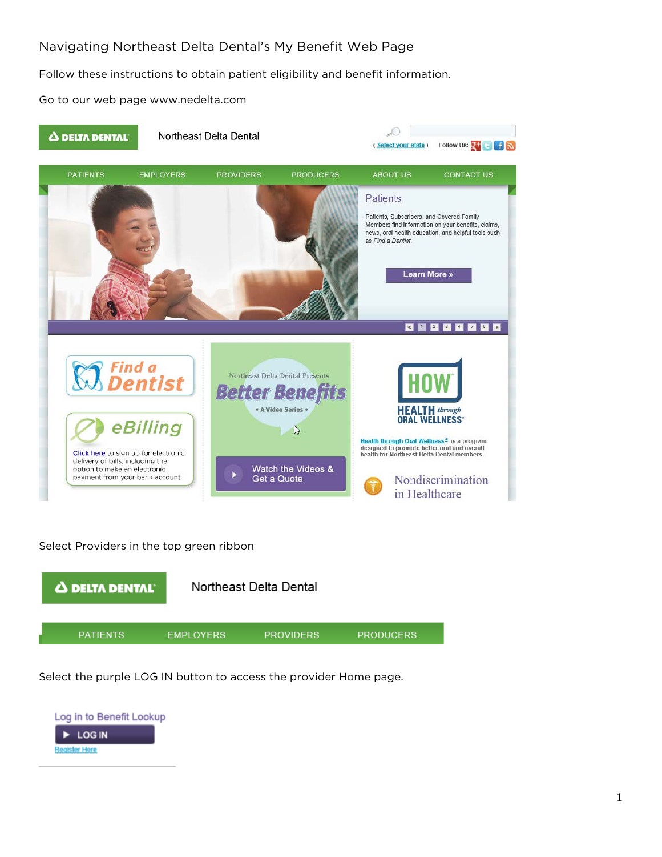# Navigating Northeast Delta Dental's My Benefit Web Page

Follow these instructions to obtain patient eligibility and benefit information.

Go to our web page www.nedelta.com



Select Providers in the top green ribbon



Select the purple LOG IN button to access the provider Home page.

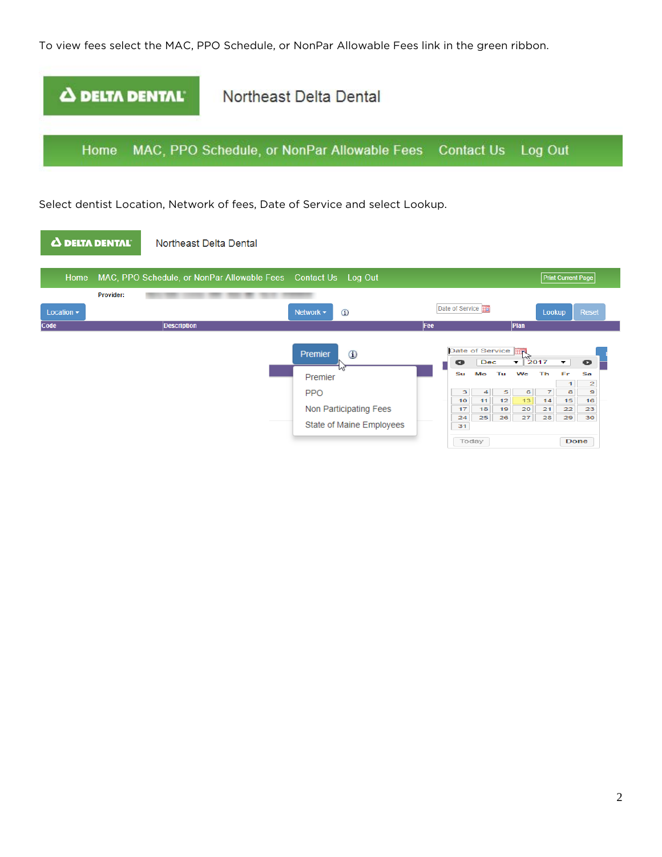To view fees select the MAC, PPO Schedule, or NonPar Allowable Fees link in the green ribbon.

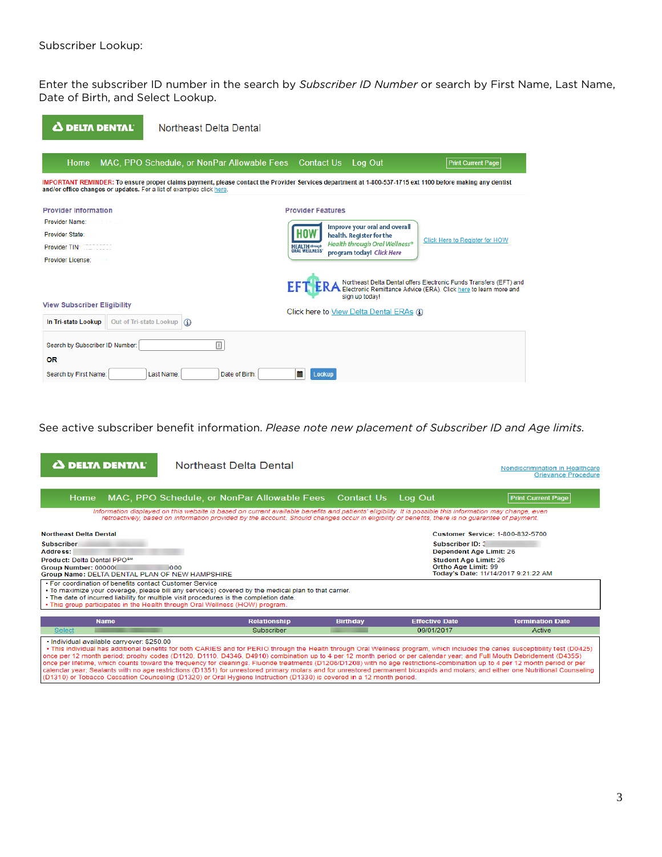Enter the subscriber ID number in the search by *Subscriber ID Number* or search by First Name, Last Name, Date of Birth, and Select Lookup.

| <b>A DELTA DENTAL</b>                                                | Northeast Delta Dental                                 |                                                                                                                                                           |
|----------------------------------------------------------------------|--------------------------------------------------------|-----------------------------------------------------------------------------------------------------------------------------------------------------------|
| Home                                                                 | MAC, PPO Schedule, or NonPar Allowable Fees Contact Us | Log Out<br><b>Print Current Page</b>                                                                                                                      |
| and/or office changes or updates. For a list of examples click here. |                                                        | IMPORTANT REMINDER: To ensure proper claims payment, please contact the Provider Services department at 1-800-537-1715 ext 1100 before making any dentist |
| <b>Provider Information</b>                                          |                                                        | <b>Provider Features</b>                                                                                                                                  |
| <b>Provider Name: Donny Sefer</b>                                    |                                                        | Improve your oral and overall                                                                                                                             |
| <b>Provider State:</b> 13                                            |                                                        | health. Register for the<br>Click Here to Register for HOW                                                                                                |
| <b>Provider TIN: 2007 STORES</b>                                     |                                                        | Health through Oral Wellness®<br><b>HEALTH (brough)</b><br>ORAL WELLNESS'<br>program today! Click Here                                                    |
| <b>Provider License: 2000</b>                                        |                                                        |                                                                                                                                                           |
|                                                                      |                                                        | Northeast Delta Dental offers Electronic Funds Transfers (EFT) and<br>Electronic Remittance Advice (ERA). Click here to learn more and<br>sign up today!  |
| <b>View Subscriber Eligibility</b>                                   |                                                        | Click here to View Delta Dental ERAs (1)                                                                                                                  |
| In Tri-state Lookup                                                  | Out of Tri-state Lookup (i)                            |                                                                                                                                                           |
| Search by Subscriber ID Number:                                      | ▣                                                      |                                                                                                                                                           |
| <b>OR</b>                                                            |                                                        |                                                                                                                                                           |
| Search by First Name:                                                | Last Name:<br>Date of Birth:                           | 萹<br>Lookup                                                                                                                                               |

See active subscriber benefit information. *Please note new placement of Subscriber ID and Age limits.*

| Δ DELTA DENTAL I                                                                                                                                   | Northeast Delta Dental                                                                                                                                                                                                                                                                                                                                                                                                                                                                                                                                                                                                                                                                                                                                                                                                                              |                   |                                                                                                                  | Nondiscrimination in Healthcare<br><b>Grievance Procedure</b> |
|----------------------------------------------------------------------------------------------------------------------------------------------------|-----------------------------------------------------------------------------------------------------------------------------------------------------------------------------------------------------------------------------------------------------------------------------------------------------------------------------------------------------------------------------------------------------------------------------------------------------------------------------------------------------------------------------------------------------------------------------------------------------------------------------------------------------------------------------------------------------------------------------------------------------------------------------------------------------------------------------------------------------|-------------------|------------------------------------------------------------------------------------------------------------------|---------------------------------------------------------------|
| Home                                                                                                                                               | MAC, PPO Schedule, or NonPar Allowable Fees                                                                                                                                                                                                                                                                                                                                                                                                                                                                                                                                                                                                                                                                                                                                                                                                         | <b>Contact Us</b> | Log Out                                                                                                          | <b>Print Current Page</b>                                     |
|                                                                                                                                                    | Information displayed on this website is based on current available benefits and patients' eligibility. It is possible this information may change, even<br>retroactively, based on information provided by the account. Should changes occur in eligibility or benefits, there is no quarantee of payment.                                                                                                                                                                                                                                                                                                                                                                                                                                                                                                                                         |                   |                                                                                                                  |                                                               |
| <b>Northeast Delta Dental</b>                                                                                                                      |                                                                                                                                                                                                                                                                                                                                                                                                                                                                                                                                                                                                                                                                                                                                                                                                                                                     |                   |                                                                                                                  | <b>Customer Service: 1-800-832-5700</b>                       |
| <b>Subscriber</b><br>Address:<br>Product: Delta Dental PPO <sup>5M</sup><br>Group Number: 000000<br>Group Name: DELTA DENTAL PLAN OF NEW HAMPSHIRE | 000                                                                                                                                                                                                                                                                                                                                                                                                                                                                                                                                                                                                                                                                                                                                                                                                                                                 |                   | <b>Subscriber ID: 3</b><br><b>Dependent Age Limit: 26</b><br><b>Student Age Limit: 26</b><br>Ortho Age Limit: 99 | Today's Date: 11/14/2017 9:21:22 AM                           |
| . For coordination of benefits contact Customer Service                                                                                            | • To maximize your coverage, please bill any service(s) covered by the medical plan to that carrier.<br>. The date of incurred liability for multiple visit procedures is the completion date.<br>• This group participates in the Health through Oral Wellness (HOW) program.                                                                                                                                                                                                                                                                                                                                                                                                                                                                                                                                                                      |                   |                                                                                                                  |                                                               |
| <b>Name</b>                                                                                                                                        | <b>Relationship</b>                                                                                                                                                                                                                                                                                                                                                                                                                                                                                                                                                                                                                                                                                                                                                                                                                                 | <b>Birthday</b>   | <b>Effective Date</b>                                                                                            | <b>Termination Date</b>                                       |
| <b>Select</b>                                                                                                                                      | Subscriber                                                                                                                                                                                                                                                                                                                                                                                                                                                                                                                                                                                                                                                                                                                                                                                                                                          |                   | 09/01/2017                                                                                                       | Active                                                        |
| · Individual available carryover: \$250.00                                                                                                         | . This individual has additional benefits for both CARIES and for PERIO through the Health through Oral Wellness program, which includes the caries susceptibility test (D0425)<br>once per 12 month period; prophy codes (D1120, D1110, D4346, D4910) combination up to 4 per 12 month period or per calendar year; and Full Mouth Debridement (D4355)<br>once per lifetime, which counts toward the frequency for cleanings. Fluoride treatments (D1206/D1208) with no age restrictions-combination up to 4 per 12 month period or per<br>calendar vear: Sealants with no age restrictions (D1351) for unrestored primary molars and for unrestored permanent bicuspids and molars; and either one Nutritional Counseling<br>(D1310) or Tobacco Cessation Counseling (D1320) or Oral Hygiene Instruction (D1330) is covered in a 12 month period. |                   |                                                                                                                  |                                                               |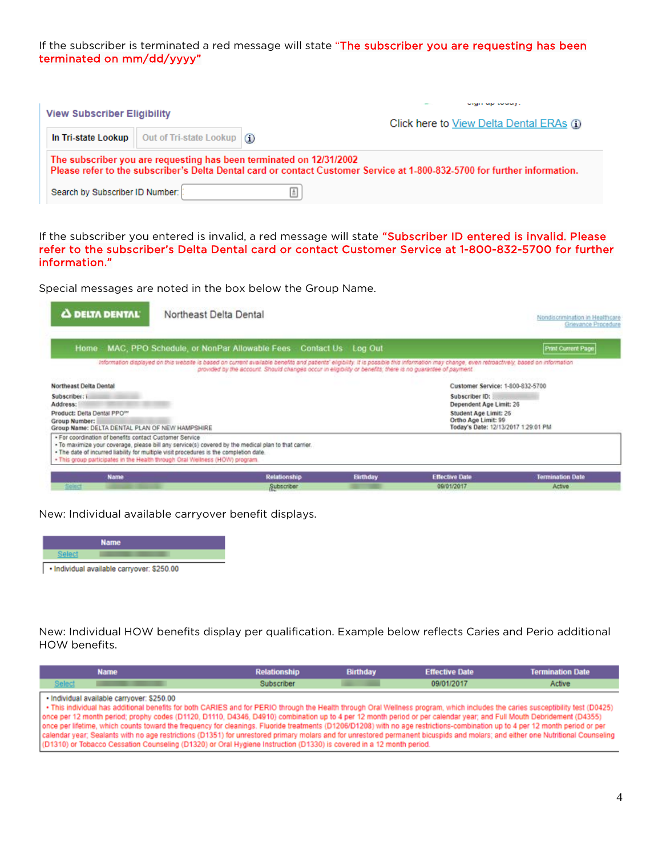If the subscriber is terminated a red message will state "The subscriber you are requesting has been terminated on mm/dd/yyyy"

| <b>View Subscriber Eligibility</b> |                                                                            | Click here to View Delta Dental ERAs (i)                                                                                                                                                         |
|------------------------------------|----------------------------------------------------------------------------|--------------------------------------------------------------------------------------------------------------------------------------------------------------------------------------------------|
|                                    | In Tri-state Lookup   Out of Tri-state Lookup $\langle \mathbf{u} \rangle$ |                                                                                                                                                                                                  |
|                                    |                                                                            | The subscriber you are requesting has been terminated on 12/31/2002<br>Please refer to the subscriber's Delta Dental card or contact Customer Service at 1-800-832-5700 for further information. |
| Search by Subscriber ID Number:    |                                                                            |                                                                                                                                                                                                  |

If the subscriber you entered is invalid, a red message will state "Subscriber ID entered is invalid. Please refer to the subscriber's Delta Dental card or contact Customer Service at 1-800-832-5700 for further information."

Special messages are noted in the box below the Group Name.

| <b>A DELTA DENTAL</b>                                                                                                                                                                                                             | Northeast Delta Dental                                                                                                                                                                                                                                                                                      |                 |                                              | Nondiscrimination in Healthcare<br>Grievance Procedure |
|-----------------------------------------------------------------------------------------------------------------------------------------------------------------------------------------------------------------------------------|-------------------------------------------------------------------------------------------------------------------------------------------------------------------------------------------------------------------------------------------------------------------------------------------------------------|-----------------|----------------------------------------------|--------------------------------------------------------|
|                                                                                                                                                                                                                                   | Home MAC, PPO Schedule, or NonPar Allowable Fees Contact Us Log Out                                                                                                                                                                                                                                         |                 |                                              | Print Current Page                                     |
|                                                                                                                                                                                                                                   | Information displayed on this website is based on current available benefits and patients' eligibility. It is possible this information may change, even retroactively, based on information<br>provided by the account. Should changes occur in eligibility or benefits, there is no guarantee of payment. |                 |                                              |                                                        |
| Northeast Delta Dental                                                                                                                                                                                                            |                                                                                                                                                                                                                                                                                                             |                 | Customer Service: 1-800-832-5700             |                                                        |
| Subscriber: i                                                                                                                                                                                                                     |                                                                                                                                                                                                                                                                                                             |                 | Subscriber ID:                               |                                                        |
| Address:                                                                                                                                                                                                                          |                                                                                                                                                                                                                                                                                                             |                 | Dependent Age Limit: 26                      |                                                        |
| Product: Delta Dental PPO <sup>161</sup>                                                                                                                                                                                          |                                                                                                                                                                                                                                                                                                             |                 | Student Age Limit: 26<br>Ortho Age Limit: 99 |                                                        |
| Group Number:<br>Group Name: DELTA DENTAL PLAN OF NEW HAMPSHIRE                                                                                                                                                                   |                                                                                                                                                                                                                                                                                                             |                 | Today's Date: 12/13/2017 1:29:01 PM          |                                                        |
| . For coordination of benefits contact Customer Service<br>. The date of incurred liability for multiple visit procedures is the completion date.<br>+ This group participates in the Health through Oral Wellness (HOW) program. | . To maximize your coverage, please bill any service(s) covered by the medical plan to that carrier.                                                                                                                                                                                                        |                 |                                              |                                                        |
| <b>Name</b>                                                                                                                                                                                                                       | <b>Relationship</b>                                                                                                                                                                                                                                                                                         | <b>Birthday</b> | <b>Effective Date</b>                        | <b>Termination Date</b>                                |
| Select                                                                                                                                                                                                                            | Subscriber                                                                                                                                                                                                                                                                                                  |                 | 09/01/2017                                   | Active                                                 |

New: Individual available carryover benefit displays.



New: Individual HOW benefits display per qualification. Example below reflects Caries and Perio additional HOW benefits.

|        | <b>Name</b>                                                                                                                                                                                                                                                                                                                                                                                                                                                                                                                                                                                                                                                                                                                                                                                                                                                                                       | <b>Relationship</b> | <b>Birthday</b> | <b>Effective Date</b> | <b>Termination Date</b> |
|--------|---------------------------------------------------------------------------------------------------------------------------------------------------------------------------------------------------------------------------------------------------------------------------------------------------------------------------------------------------------------------------------------------------------------------------------------------------------------------------------------------------------------------------------------------------------------------------------------------------------------------------------------------------------------------------------------------------------------------------------------------------------------------------------------------------------------------------------------------------------------------------------------------------|---------------------|-----------------|-----------------------|-------------------------|
| Select |                                                                                                                                                                                                                                                                                                                                                                                                                                                                                                                                                                                                                                                                                                                                                                                                                                                                                                   | Subscriber          |                 | 09/01/2017            | Active                  |
|        | · Individual available carryover: \$250.00<br>. This individual has additional benefits for both CARIES and for PERIO through the Health through Oral Wellness program, which includes the caries susceptibility test (D0425)<br>once per 12 month period; prophy codes (D1120, D1110, D4346, D4910) combination up to 4 per 12 month period or per calendar year; and Full Mouth Debridement (D4355)<br>once per lifetime, which counts toward the frequency for cleanings. Fluoride treatments (D1206/D1208) with no age restrictions-combination up to 4 per 12 month period or per<br>calendar year; Sealants with no age restrictions (D1351) for unrestored primary molars and for unrestored permanent bicuspids and molars; and either one Nutritional Counseling<br>(D1310) or Tobacco Cessation Counseling (D1320) or Oral Hygiene Instruction (D1330) is covered in a 12 month period. |                     |                 |                       |                         |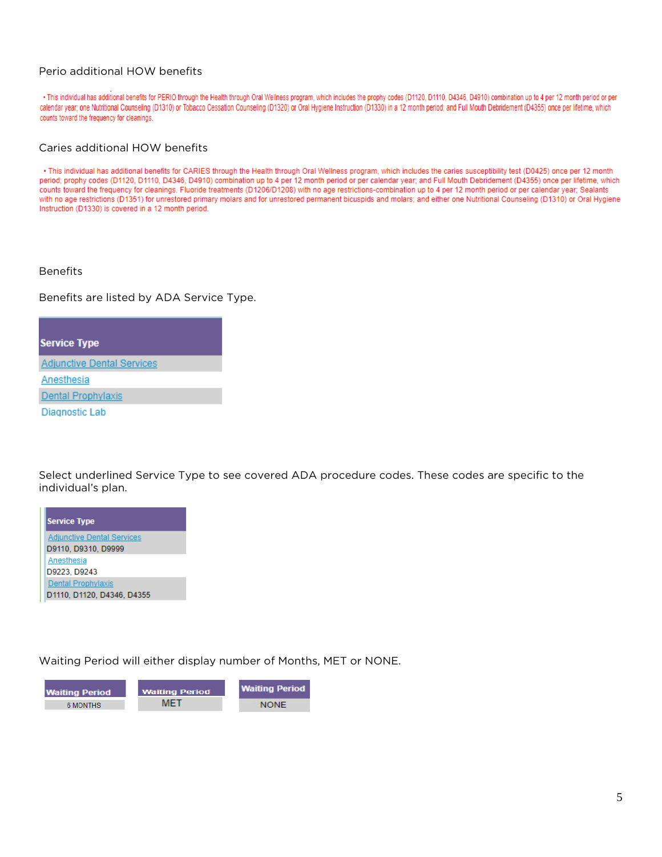# Perio additional HOW benefits

. This individual has additional benefits for PERIO through the Health through Oral Wellness program, which includes the prophy codes (D1120, D1110, D4346, D4910) combination up to 4 per 12 month period or per calendar year; one Nutritional Counseling (D1310) or Tobacco Cessation Counseling (D1320) or Oral Hygiene Instruction (D1330) in a 12 month period; and Full Mouth Debridement (D4355) once per lifetime, which counts toward the frequency for cleanings.

#### Caries additional HOW benefits

. This individual has additional benefits for CARIES through the Health through Oral Wellness program, which includes the caries susceptibility test (D0425) once per 12 month period; prophy codes (D1120, D1110, D4346, D4910) combination up to 4 per 12 month period or per calendar year; and Full Mouth Debridement (D4355) once per lifetime, which counts toward the frequency for cleanings. Fluoride treatments (D1206/D1208) with no age restrictions-combination up to 4 per 12 month period or per calendar year; Sealants with no age restrictions (D1351) for unrestored primary molars and for unrestored permanent bicuspids and molars; and either one Nutritional Counseling (D1310) or Oral Hygiene Instruction (D1330) is covered in a 12 month period.

Benefits

Benefits are listed by ADA Service Type.

**Service Type Adjunctive Dental Services** Anesthesia Dental Prophylaxis **Diagnostic Lab** 

Select underlined Service Type to see covered ADA procedure codes. These codes are specific to the individual's plan.

**Service Type Adjunctive Dental Services** D9110, D9310, D9999 Anesthesia D9223, D9243 **Dental Prophylaxis** D1110, D1120, D4346, D4355

Waiting Period will either display number of Months, MET or NONE.

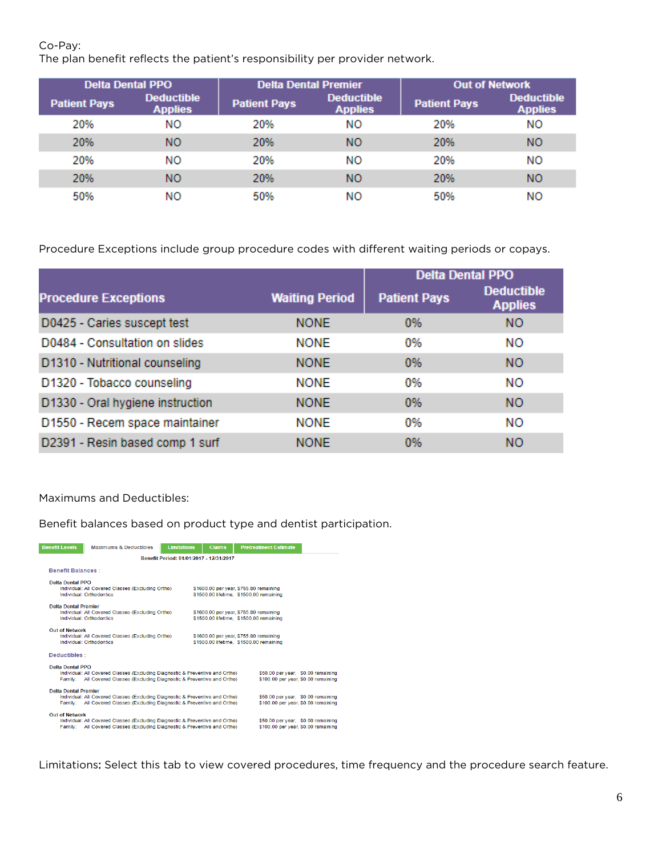Co-Pay:

The plan benefit reflects the patient's responsibility per provider network.

| <b>Delta Dental PPO</b> |                                     | <b>Delta Dental Premier</b> |                                     | <b>Out of Network</b> |                                     |
|-------------------------|-------------------------------------|-----------------------------|-------------------------------------|-----------------------|-------------------------------------|
| <b>Patient Pays</b>     | <b>Deductible</b><br><b>Applies</b> | <b>Patient Pays</b>         | <b>Deductible</b><br><b>Applies</b> | <b>Patient Pays</b>   | <b>Deductible</b><br><b>Applies</b> |
| 20%                     | NΟ                                  | 20%                         | NO.                                 | 20%                   | NO.                                 |
| 20%                     | NΟ                                  | 20%                         | NΟ                                  | 20%                   | NΟ                                  |
| 20%                     | NΟ                                  | 20%                         | NO.                                 | 20%                   | NO.                                 |
| 20%                     | NΟ                                  | 20%                         | NΟ                                  | 20%                   | NΟ                                  |
| 50%                     | NΟ                                  | 50%                         | NΟ                                  | 50%                   | NΟ                                  |

Procedure Exceptions include group procedure codes with different waiting periods or copays.

|                                  |                       | <b>Delta Dental PPO</b> |                                     |
|----------------------------------|-----------------------|-------------------------|-------------------------------------|
| <b>Procedure Exceptions</b>      | <b>Waiting Period</b> | <b>Patient Pays</b>     | <b>Deductible</b><br><b>Applies</b> |
| D0425 - Caries suscept test      | <b>NONE</b>           | 0%                      | <b>NO</b>                           |
| D0484 - Consultation on slides   | <b>NONE</b>           | 0%                      | ΝO                                  |
| D1310 - Nutritional counseling   | <b>NONE</b>           | 0%                      | <b>NO</b>                           |
| D1320 - Tobacco counseling       | <b>NONE</b>           | 0%                      | NO                                  |
| D1330 - Oral hygiene instruction | <b>NONE</b>           | 0%                      | <b>NO</b>                           |
| D1550 - Recem space maintainer   | <b>NONE</b>           | 0%                      | NO                                  |
| D2391 - Resin based comp 1 surf  | <b>NONE</b>           | 0%                      | <b>NO</b>                           |

## Maximums and Deductibles:

Benefit balances based on product type and dentist participation.



Limitations: Select this tab to view covered procedures, time frequency and the procedure search feature.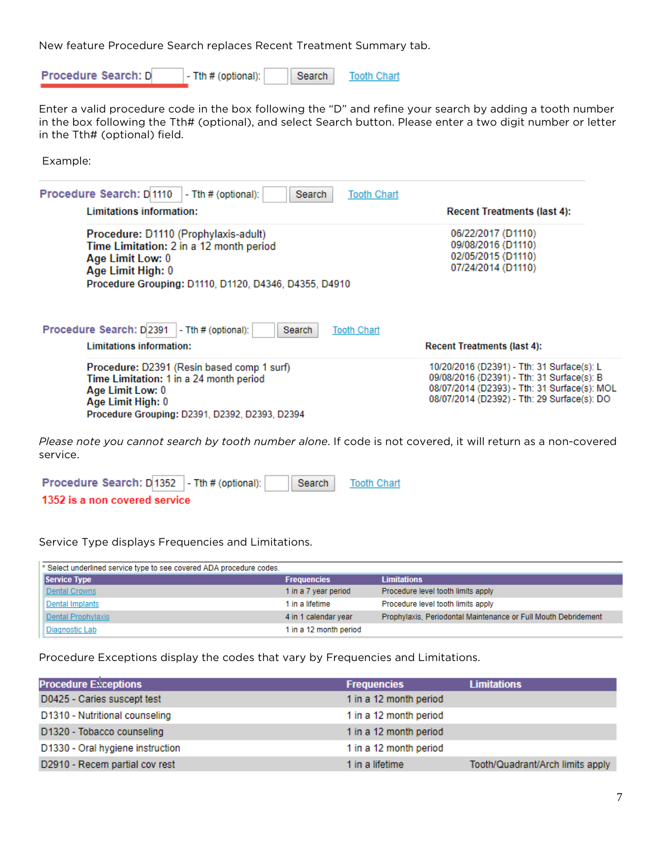New feature Procedure Search replaces Recent Treatment Summary tab.

Procedure Search: D - Tth # (optional): Search **Tooth Chart** 

Enter a valid procedure code in the box following the "D" and refine your search by adding a tooth number in the box following the Tth# (optional), and select Search button. Please enter a two digit number or letter in the Tth# (optional) field.

Example:

| Procedure Search: D 1110<br>$-$ Tth $#$ (optional):<br>Search<br><b>Tooth Chart</b><br>Limitations information:                                                                   | <b>Recent Treatments (last 4):</b>                                                                                                                                                      |
|-----------------------------------------------------------------------------------------------------------------------------------------------------------------------------------|-----------------------------------------------------------------------------------------------------------------------------------------------------------------------------------------|
| Procedure: D1110 (Prophylaxis-adult)<br>Time Limitation: 2 in a 12 month period<br>Age Limit Low: 0<br>Age Limit High: 0<br>Procedure Grouping: D1110, D1120, D4346, D4355, D4910 | 06/22/2017 (D1110)<br>09/08/2016 (D1110)<br>02/05/2015 (D1110)<br>07/24/2014 (D1110)                                                                                                    |
| Procedure Search: D2391<br>$-$ Tth $#$ (optional):<br>Search<br><b>Tooth Chart</b><br>Limitations information:                                                                    | <b>Recent Treatments (last 4):</b>                                                                                                                                                      |
| Procedure: D2391 (Resin based comp 1 surf)<br>Time Limitation: 1 in a 24 month period<br>Age Limit Low: 0<br>Age Limit High: 0<br>Procedure Grouping: D2391, D2392, D2393, D2394  | 10/20/2016 (D2391) - Tth: 31 Surface(s): L<br>09/08/2016 (D2391) - Tth: 31 Surface(s): B<br>08/07/2014 (D2393) - Tth: 31 Surface(s): MOL<br>08/07/2014 (D2392) - Tth: 29 Surface(s): DO |

*Please note you cannot search by tooth number alone*. If code is not covered, it will return as a non-covered service.

| Procedure Search: D 1352 - Tth # (optional): | Search | <b>Tooth Chart</b> |
|----------------------------------------------|--------|--------------------|
| 1352 is a non covered service                |        |                    |

Service Type displays Frequencies and Limitations.

| * Select underlined service type to see covered ADA procedure codes. |                        |                                                                |
|----------------------------------------------------------------------|------------------------|----------------------------------------------------------------|
| <b>Service Type</b>                                                  | <b>Frequencies</b>     | <b>Limitations</b>                                             |
| Dental Crowns                                                        | 1 in a 7 year period   | Procedure level tooth limits apply                             |
| Dental Implants                                                      | 1 in a lifetime        | Procedure level tooth limits apply                             |
| Dental Prophylaxis                                                   | 4 in 1 calendar year   | Prophylaxis, Periodontal Maintenance or Full Mouth Debridement |
| Diagnostic Lab                                                       | 1 in a 12 month period |                                                                |

Procedure Exceptions display the codes that vary by Frequencies and Limitations.

| <b>Procedure Exceptions</b>      | <b>Frequencies</b>     | <b>Limitations</b>               |
|----------------------------------|------------------------|----------------------------------|
| D0425 - Caries suscept test      | 1 in a 12 month period |                                  |
| D1310 - Nutritional counseling   | 1 in a 12 month period |                                  |
| D1320 - Tobacco counseling       | 1 in a 12 month period |                                  |
| D1330 - Oral hygiene instruction | 1 in a 12 month period |                                  |
| D2910 - Recem partial cov rest   | 1 in a lifetime        | Tooth/Quadrant/Arch limits apply |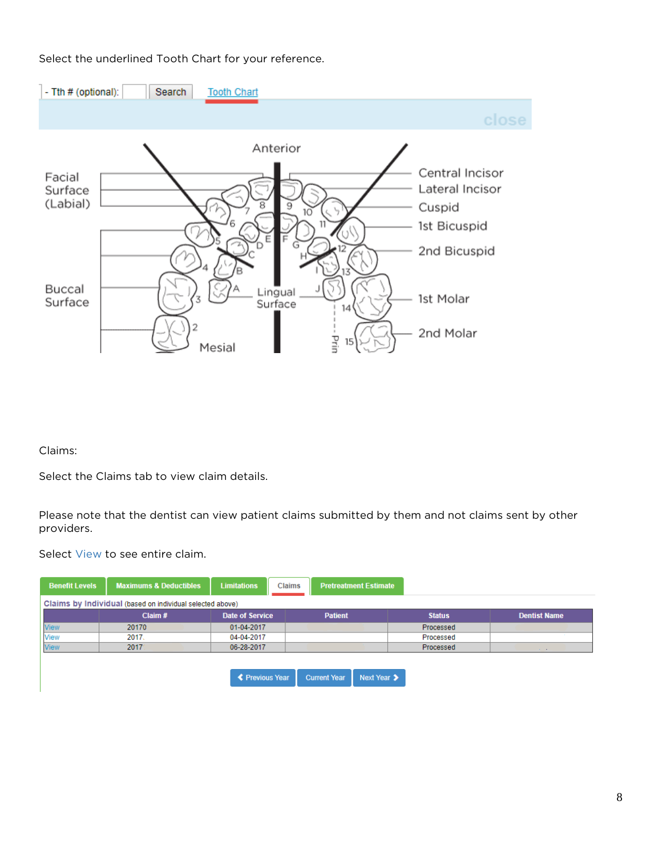# Select the underlined Tooth Chart for your reference.



Claims:

Select the Claims tab to view claim details.

Please note that the dentist can view patient claims submitted by them and not claims sent by other providers.

Select View to see entire claim.

| <b>Benefit Levels</b> | <b>Maximums &amp; Deductibles</b>                         | <b>Limitations</b>     | <b>Pretreatment Estimate</b><br><b>Claims</b> |               |                          |
|-----------------------|-----------------------------------------------------------|------------------------|-----------------------------------------------|---------------|--------------------------|
|                       | Claims by Individual (based on individual selected above) |                        |                                               |               |                          |
|                       | Claim $#$                                                 | <b>Date of Service</b> | <b>Patient</b>                                | <b>Status</b> | <b>Dentist Name</b>      |
| <b>View</b>           | 20170                                                     | 01-04-2017             |                                               | Processed     |                          |
| <b>View</b>           | 2017.                                                     | 04-04-2017             |                                               | Processed     |                          |
| <b>View</b>           | 2017                                                      | 06-28-2017             |                                               | Processed     | <b>Contract Contract</b> |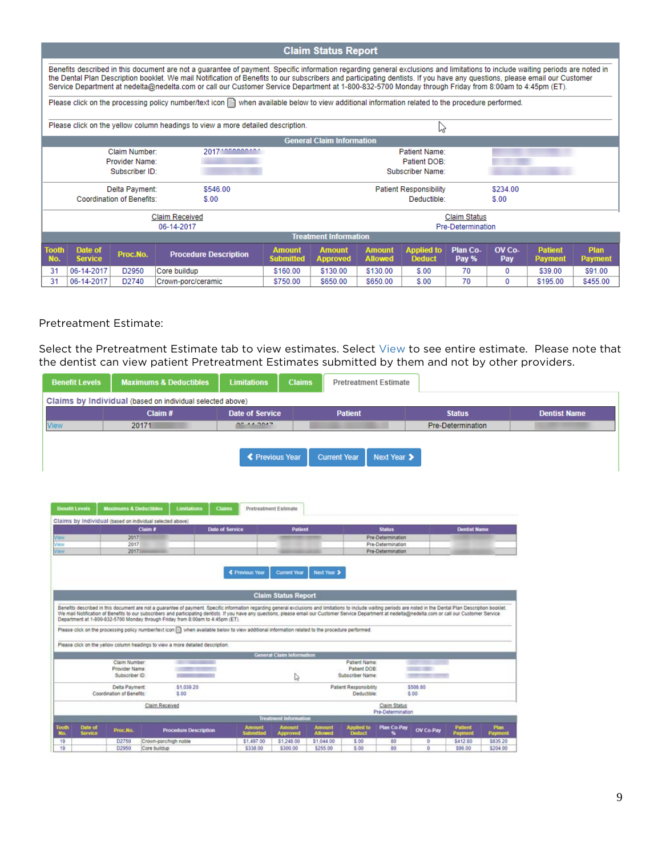#### **Claim Status Report** Benefits described in this document are not a quarantee of payment. Specific information regarding general exclusions and limitations to include waiting periods are noted in the Dental Plan Description booklet. We mail Notification of Benefits to our subscribers and participating dentists. If you have any questions, please email our Customer Service Department at nedelta@nedelta.com or call our Customer Service Department at 1-800-832-5700 Monday through Friday from 8:00am to 4:45pm (ET). Please click on the processing policy number/text icon [3] when available below to view additional information related to the procedure performed. Please click on the yellow column headings to view a more detailed description. ド **General Claim Information** 2017 \*\*\*\*\*\*\*\*\*\* Claim Number: Patient Name: Provider Name: Patient DOB: Subscriber ID: Subscriber Name: Delta Payment: \$546.00 **Patient Responsibility** \$234.00 **Coordination of Benefits:**  $$.00$  $$.00$ Deductible: **Claim Received Claim Status** 06-14-2017 Pre-Determination **Treatment Information Amount**<br>Allowed **Tooth** Date of **Amount Amount Applied to Plan Co-**OV Co-Patient Plan **Procedure Description** Proc.No. **Deduct** Pay % No. **Service** Submitted Approved Pay Payment Payment 31 06-14-2017 D2950 Core buildup \$160.00 \$130.00 \$130.00  $$.00$ 70  $\mathbf 0$ \$39.00 \$91.00 \$750.00 \$195.00 \$455.00  $31$ 06-14-2017 D2740 \$650.00 \$650.00  $$.00$ 70  $\overline{0}$ Crown-porc/ceramic

#### Pretreatment Estimate:

Select the Pretreatment Estimate tab to view estimates. Select View to see entire estimate. Please note that the dentist can view patient Pretreatment Estimates submitted by them and not by other providers.

| <b>Benefit Levels</b>              |                                                                                                                                                                                                                                                                                                                                                                                                                                                                                                                     | <b>Maximums &amp; Deductibles</b> | <b>Limitations</b>                     | <b>Claims</b><br><b>Pretreatment Estimate</b> |                                 |                       |                                        |                   |                     |                 |                     |
|------------------------------------|---------------------------------------------------------------------------------------------------------------------------------------------------------------------------------------------------------------------------------------------------------------------------------------------------------------------------------------------------------------------------------------------------------------------------------------------------------------------------------------------------------------------|-----------------------------------|----------------------------------------|-----------------------------------------------|---------------------------------|-----------------------|----------------------------------------|-------------------|---------------------|-----------------|---------------------|
|                                    | Claims by Individual (based on individual selected above)                                                                                                                                                                                                                                                                                                                                                                                                                                                           |                                   |                                        |                                               |                                 |                       |                                        |                   |                     |                 |                     |
|                                    |                                                                                                                                                                                                                                                                                                                                                                                                                                                                                                                     | Claim#                            |                                        | <b>Patient</b><br><b>Date of Service</b>      |                                 |                       |                                        |                   |                     |                 | <b>Dentist Name</b> |
| <b>View</b>                        | 20171                                                                                                                                                                                                                                                                                                                                                                                                                                                                                                               |                                   | OC A A DOAR                            |                                               |                                 |                       |                                        |                   | Pre-Determination   |                 |                     |
|                                    |                                                                                                                                                                                                                                                                                                                                                                                                                                                                                                                     |                                   |                                        |                                               |                                 |                       |                                        |                   |                     |                 |                     |
|                                    |                                                                                                                                                                                                                                                                                                                                                                                                                                                                                                                     |                                   |                                        |                                               |                                 |                       |                                        |                   |                     |                 |                     |
|                                    |                                                                                                                                                                                                                                                                                                                                                                                                                                                                                                                     |                                   | <b>≮ Previous Year</b>                 |                                               | <b>Current Year</b>             |                       | Next Year >                            |                   |                     |                 |                     |
|                                    |                                                                                                                                                                                                                                                                                                                                                                                                                                                                                                                     |                                   |                                        |                                               |                                 |                       |                                        |                   |                     |                 |                     |
|                                    |                                                                                                                                                                                                                                                                                                                                                                                                                                                                                                                     |                                   |                                        |                                               |                                 |                       |                                        |                   |                     |                 |                     |
|                                    |                                                                                                                                                                                                                                                                                                                                                                                                                                                                                                                     |                                   |                                        |                                               |                                 |                       |                                        |                   |                     |                 |                     |
|                                    |                                                                                                                                                                                                                                                                                                                                                                                                                                                                                                                     |                                   |                                        |                                               |                                 |                       |                                        |                   |                     |                 |                     |
| <b>Benefit Levels</b>              | <b>Maximums &amp; Deductibles</b>                                                                                                                                                                                                                                                                                                                                                                                                                                                                                   | Limitations                       | <b>Claims</b><br>Pretreatment Estimate |                                               |                                 |                       |                                        |                   |                     |                 |                     |
|                                    | Claims by Individual (based on individual selected above)                                                                                                                                                                                                                                                                                                                                                                                                                                                           |                                   |                                        |                                               |                                 |                       |                                        |                   |                     |                 |                     |
|                                    | Claim #                                                                                                                                                                                                                                                                                                                                                                                                                                                                                                             |                                   | <b>Date of Service</b>                 | Patient                                       |                                 |                       | <b>Status</b>                          |                   | <b>Dentist Name</b> |                 |                     |
| Waw                                | 2017                                                                                                                                                                                                                                                                                                                                                                                                                                                                                                                |                                   |                                        |                                               |                                 |                       | Pre-Determination                      |                   |                     |                 |                     |
| View<br>View                       | 2017<br>2017                                                                                                                                                                                                                                                                                                                                                                                                                                                                                                        |                                   |                                        |                                               |                                 |                       | Pre-Determination<br>Pre-Determination |                   |                     |                 |                     |
|                                    |                                                                                                                                                                                                                                                                                                                                                                                                                                                                                                                     |                                   |                                        |                                               |                                 |                       |                                        |                   |                     |                 |                     |
|                                    |                                                                                                                                                                                                                                                                                                                                                                                                                                                                                                                     |                                   | € Previous Year                        | <b>Current Year</b>                           | Next Year >                     |                       |                                        |                   |                     |                 |                     |
|                                    |                                                                                                                                                                                                                                                                                                                                                                                                                                                                                                                     |                                   |                                        | <b>Claim Status Report</b>                    |                                 |                       |                                        |                   |                     |                 |                     |
|                                    | Benefits described in this document are not a guarantee of payment. Specific information regarding general exclusions and limitations to include waiting periods are noted in the Dental Plan Description booklet.<br>We mail Notification of Benefits to our subscribers and participating dentists. If you have any questions, please email our Customer Service Department at nedelta@nedelta.com or call our Customer Service<br>Department at 1-800-832-5700 Monday through Friday from 8:00am to 4:45pm (ET). |                                   |                                        |                                               |                                 |                       |                                        |                   |                     |                 |                     |
|                                    | Please click on the processing policy number/text icon in when available below to view additional information related to the procedure performed                                                                                                                                                                                                                                                                                                                                                                    |                                   |                                        |                                               |                                 |                       |                                        |                   |                     |                 |                     |
|                                    | Please click on the yellow column headings to view a more detailed description.                                                                                                                                                                                                                                                                                                                                                                                                                                     |                                   |                                        |                                               |                                 |                       |                                        |                   |                     |                 |                     |
|                                    |                                                                                                                                                                                                                                                                                                                                                                                                                                                                                                                     |                                   |                                        | <b>General Claim Information</b>              |                                 |                       |                                        |                   |                     |                 |                     |
|                                    | Claim Number                                                                                                                                                                                                                                                                                                                                                                                                                                                                                                        |                                   |                                        |                                               |                                 | Patient Name:         |                                        |                   |                     |                 |                     |
|                                    | Provider Name<br>Subscriber ID.                                                                                                                                                                                                                                                                                                                                                                                                                                                                                     |                                   |                                        |                                               | Subscriber Name:                | Patient DOB:          |                                        |                   |                     |                 |                     |
|                                    |                                                                                                                                                                                                                                                                                                                                                                                                                                                                                                                     |                                   |                                        | ↳                                             |                                 |                       |                                        |                   |                     |                 |                     |
|                                    | Delta Payment<br>Coordination of Benefits:                                                                                                                                                                                                                                                                                                                                                                                                                                                                          | \$1,039.20<br>\$00                |                                        |                                               | Patient Responsibility          | Deductible:           |                                        | \$508.80<br>\$.00 |                     |                 |                     |
|                                    |                                                                                                                                                                                                                                                                                                                                                                                                                                                                                                                     |                                   |                                        |                                               |                                 |                       |                                        |                   |                     |                 |                     |
|                                    |                                                                                                                                                                                                                                                                                                                                                                                                                                                                                                                     | Claim Received                    |                                        |                                               |                                 |                       | Claim Status<br>Pre-Determination      |                   |                     |                 |                     |
|                                    |                                                                                                                                                                                                                                                                                                                                                                                                                                                                                                                     |                                   |                                        | <b>Treatment Information</b>                  |                                 |                       |                                        |                   |                     |                 |                     |
| Tooth<br>Date of<br>No.<br>Service | Proc.No.                                                                                                                                                                                                                                                                                                                                                                                                                                                                                                            | <b>Procedure Description</b>      | <b>Amount</b><br>Submitted             | <b>Amount</b><br>Approved                     | <b>Amount</b><br><b>Allowed</b> | Applied to:<br>Deduct | <b>Plan Co-Pay</b><br>ĸ                | OV Co-Pay         | Patient<br>Payment  | Plan<br>Payment |                     |
| 19                                 | D2750                                                                                                                                                                                                                                                                                                                                                                                                                                                                                                               | Crown-porc/high noble             | \$1,497.00                             | \$1,248.00                                    | \$1,044.00                      | \$.00                 | 80                                     | $\theta$          | S412.80             | \$835.20        |                     |
| 19                                 | D2950<br>Core buildup                                                                                                                                                                                                                                                                                                                                                                                                                                                                                               |                                   | \$338.00                               | \$300.00                                      | \$255.00                        | 5.00                  | 80                                     | ٥                 | \$96.00             | \$204.00        |                     |